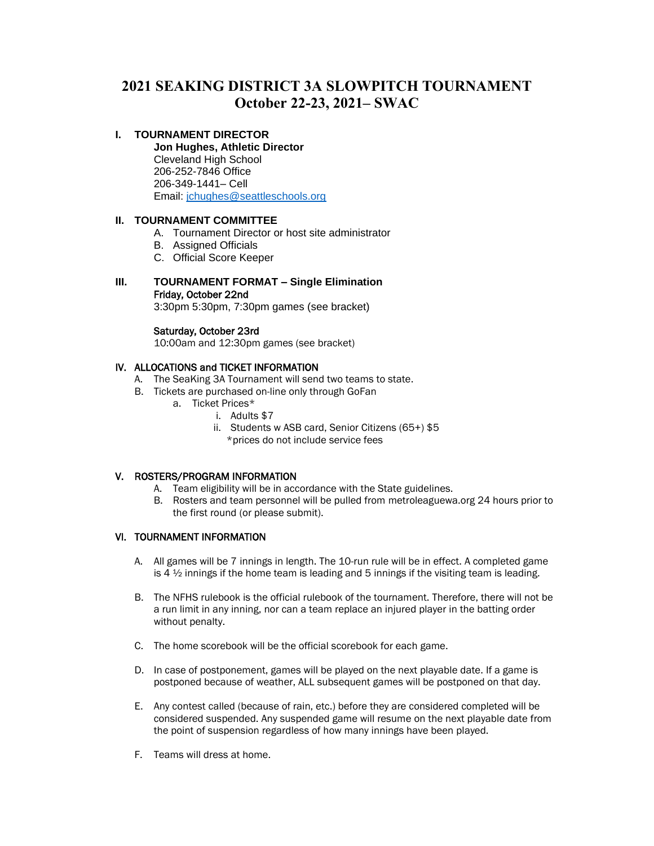# **2021 SEAKING DISTRICT 3A SLOWPITCH TOURNAMENT October 22-23, 2021– SWAC**

## **I. TOURNAMENT DIRECTOR**

**Jon Hughes, Athletic Director** Cleveland High School 206-252-7846 Office 206-349-1441– Cell Email: [jchughes@seattleschools.org](mailto:jchughes@seattleschools.org)

## **II. TOURNAMENT COMMITTEE**

- A. Tournament Director or host site administrator
- B. Assigned Officials
- C. Official Score Keeper

## **III. TOURNAMENT FORMAT – Single Elimination** Friday, October 22nd

3:30pm 5:30pm, 7:30pm games (see bracket)

#### Saturday, October 23rd

10:00am and 12:30pm games (see bracket)

## IV. ALLOCATIONS and TICKET INFORMATION

- A. The SeaKing 3A Tournament will send two teams to state.
- B. Tickets are purchased on-line only through GoFan
	- a. Ticket Prices\*
		- i. Adults \$7
		- ii. Students w ASB card, Senior Citizens (65+) \$5
			- \*prices do not include service fees

#### V. ROSTERS/PROGRAM INFORMATION

- A. Team eligibility will be in accordance with the State guidelines.
- B. Rosters and team personnel will be pulled from metroleaguewa.org 24 hours prior to the first round (or please submit).

#### VI. TOURNAMENT INFORMATION

- A. All games will be 7 innings in length. The 10-run rule will be in effect. A completed game is  $4\frac{1}{2}$  innings if the home team is leading and 5 innings if the visiting team is leading.
- B. The NFHS rulebook is the official rulebook of the tournament. Therefore, there will not be a run limit in any inning, nor can a team replace an injured player in the batting order without penalty.
- C. The home scorebook will be the official scorebook for each game.
- D. In case of postponement, games will be played on the next playable date. If a game is postponed because of weather, ALL subsequent games will be postponed on that day.
- E. Any contest called (because of rain, etc.) before they are considered completed will be considered suspended. Any suspended game will resume on the next playable date from the point of suspension regardless of how many innings have been played.
- F. Teams will dress at home.